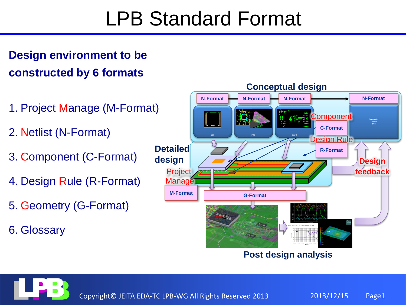## LPB Standard Format

#### **Design environment to be constructed by 6 formats**

- 1. Project Manage (M-Format)
- 2. Netlist (N-Format)
- 3. Component (C-Format)
- 4. Design Rule (R-Format)
- 5. Geometry (G-Format)
- 6. Glossary



**Post design analysis**

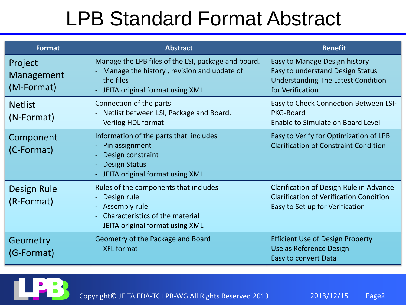| <b>Format</b>                       | <b>Abstract</b>                                                                                                                                   | <b>Benefit</b>                                                                                                                      |
|-------------------------------------|---------------------------------------------------------------------------------------------------------------------------------------------------|-------------------------------------------------------------------------------------------------------------------------------------|
| Project<br>Management<br>(M-Format) | Manage the LPB files of the LSI, package and board.<br>Manage the history, revision and update of<br>the files<br>JEITA original format using XML | Easy to Manage Design history<br>Easy to understand Design Status<br><b>Understanding The Latest Condition</b><br>for Verification  |
| <b>Netlist</b><br>(N-Format)        | Connection of the parts<br>Netlist between LSI, Package and Board.<br>Verilog HDL format                                                          | Easy to Check Connection Between LSI-<br>PKG-Board<br>Enable to Simulate on Board Level                                             |
| Component<br>(C-Format)             | Information of the parts that includes<br>Pin assignment<br>Design constraint<br><b>Design Status</b><br>JEITA original format using XML          | Easy to Verify for Optimization of LPB<br><b>Clarification of Constraint Condition</b>                                              |
| <b>Design Rule</b><br>(R-Format)    | Rules of the components that includes<br>Design rule<br>Assembly rule<br>Characteristics of the material<br>JEITA original format using XML       | <b>Clarification of Design Rule in Advance</b><br><b>Clarification of Verification Condition</b><br>Easy to Set up for Verification |
| Geometry<br>(G-Format)              | Geometry of the Package and Board<br>- XFL format                                                                                                 | <b>Efficient Use of Design Property</b><br>Use as Reference Design<br>Easy to convert Data                                          |

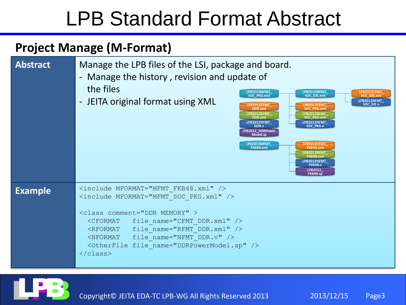#### **Project Manage (M-Format)**



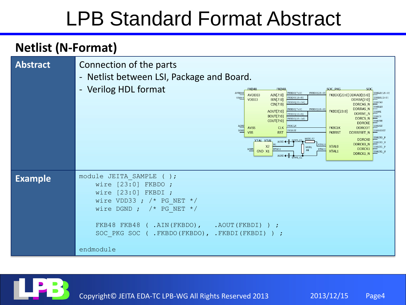#### **Netlist (N-Format)**

| <b>Abstract</b> | Connection of the parts<br>- Netlist between LSI, Package and Board.<br>- Verilog HDL format<br>FKB48<br><b>SOC PKG</b><br><b>SOC</b><br><b>FKB48</b><br>AVDD33<br>FKBDO[7:0]<br>FKBDO[23:0]<br>DDRAD[15:0]<br>AVDD33<br>AIN[7:0]<br>FKBDO[23:0] DDRAD[15:0]<br>FKBDO[15:8]<br>DDRBA[2:0]<br>VDD33<br>VDD33<br>BIN[7:0]<br>DDRBA[2:0]<br>FKBDO[23:16]<br><b>DDRCAS</b><br>CIN[7:0]<br><b>DDRCAS_N</b><br>DDRRAS<br><b>DDRRAS N</b><br>FKBDI[23:0]<br>FKBDI[7:0]<br>AOUT[7:0]<br>FKBDI[23:0]<br>DDRWE<br>DDRWE_N<br>FKBDI[15:8]<br><b>BOUT[7:0]</b><br>DDRCS<br>DDRCS_N<br>FKBDI[23:16]<br>COUT[7:0]<br>DDRCKE<br><b>DDRCKE</b><br>DDRODT<br>AGND<br>FKBCLK<br><b>DDRODT</b><br><b>AVSS</b><br><b>CLK</b><br><b>FKBCLK</b><br>$\texttt{DGND}$<br>FKBRST<br><b>DDRRESET</b><br><b>VSS</b><br><b>RST</b><br><b>FKBRST</b><br>DDRRESET_N<br>DDRCK0 F<br>MCR1.R7<br><b>DDRCK0</b><br>AGND + GRM1_C2<br><b>XTAL XTAL</b><br>DDRCK0 N<br>DDRCK0_N<br><b>TAL0</b><br>X <sub>2</sub><br><b>XTAL0</b><br>DDRCK1_F<br>MCR1<br>DDRCK1<br>XTAL1<br>$\Lambda\mathrm{GND}$<br>XTAL1<br><b>R8</b><br>GND X1<br>XTAL1<br>DDRCK1 N<br>DDRCK1_N<br>AGND < |
|-----------------|----------------------------------------------------------------------------------------------------------------------------------------------------------------------------------------------------------------------------------------------------------------------------------------------------------------------------------------------------------------------------------------------------------------------------------------------------------------------------------------------------------------------------------------------------------------------------------------------------------------------------------------------------------------------------------------------------------------------------------------------------------------------------------------------------------------------------------------------------------------------------------------------------------------------------------------------------------------------------------------------------------------------------------------------------------------------------------------------------------------------------------------|
| <b>Example</b>  | module JEITA SAMPLE<br>$( )$ :<br>wire $[23:0]$ FKBDO;<br>wire $[23:0]$ FKBDI;<br>wire VDD33 ; $/*$ PG NET $*/$<br>wire DGND ; $/*$ PG NET $*/$<br>FKB48 FKB48 ( .AIN (FKBDO), .AOUT (FKBDI) ) ;<br>SOC PKG SOC (<br>. FKBDO (FKBDO), . FKBDI (FKBDI)<br>$\rightarrow$ :<br>endmodule                                                                                                                                                                                                                                                                                                                                                                                                                                                                                                                                                                                                                                                                                                                                                                                                                                                  |

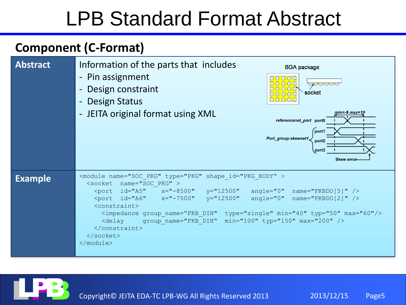#### **Component (C-Format)**



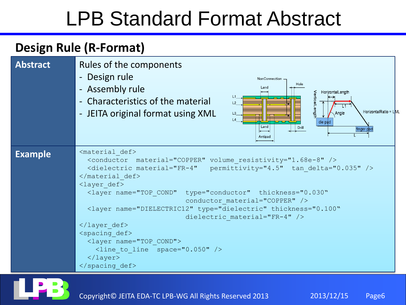#### **Design Rule (R-Format)**



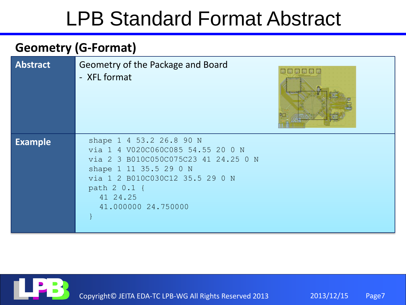#### **Geometry (G-Format)**

| <b>Abstract</b> | Geometry of the Package and Board<br>134 35<br><b>Kathara</b><br>- XFL format                                                                                                                                         |
|-----------------|-----------------------------------------------------------------------------------------------------------------------------------------------------------------------------------------------------------------------|
| <b>Example</b>  | shape 1 4 53.2 26.8 90 N<br>via 1 4 V020C060C085 54.55 20 0 N<br>via 2 3 B010C050C075C23 41 24.25 0 N<br>shape 1 11 35.5 29 0 N<br>via 1 2 B010C030C12 35.5 29 0 N<br>path 2 0.1 {<br>41 24.25<br>41.000000 24.750000 |